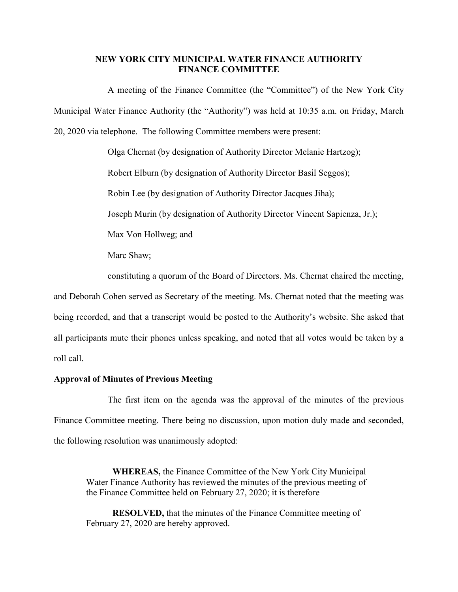## **NEW YORK CITY MUNICIPAL WATER FINANCE AUTHORITY FINANCE COMMITTEE**

A meeting of the Finance Committee (the "Committee") of the New York City Municipal Water Finance Authority (the "Authority") was held at 10:35 a.m. on Friday, March 20, 2020 via telephone. The following Committee members were present:

> Olga Chernat (by designation of Authority Director Melanie Hartzog); Robert Elburn (by designation of Authority Director Basil Seggos); Robin Lee (by designation of Authority Director Jacques Jiha); Joseph Murin (by designation of Authority Director Vincent Sapienza, Jr.); Max Von Hollweg; and Marc Shaw; constituting a quorum of the Board of Directors. Ms. Chernat chaired the meeting,

and Deborah Cohen served as Secretary of the meeting. Ms. Chernat noted that the meeting was being recorded, and that a transcript would be posted to the Authority's website. She asked that all participants mute their phones unless speaking, and noted that all votes would be taken by a roll call.

# **Approval of Minutes of Previous Meeting**

The first item on the agenda was the approval of the minutes of the previous Finance Committee meeting. There being no discussion, upon motion duly made and seconded, the following resolution was unanimously adopted:

**WHEREAS,** the Finance Committee of the New York City Municipal Water Finance Authority has reviewed the minutes of the previous meeting of the Finance Committee held on February 27, 2020; it is therefore

**RESOLVED,** that the minutes of the Finance Committee meeting of February 27, 2020 are hereby approved.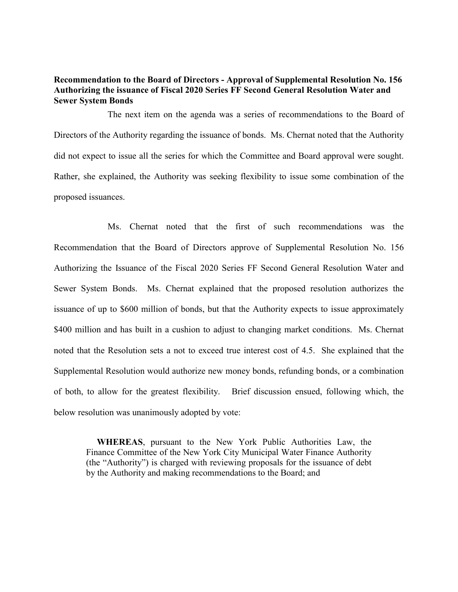# **Recommendation to the Board of Directors - Approval of Supplemental Resolution No. 156 Authorizing the issuance of Fiscal 2020 Series FF Second General Resolution Water and Sewer System Bonds**

The next item on the agenda was a series of recommendations to the Board of Directors of the Authority regarding the issuance of bonds. Ms. Chernat noted that the Authority did not expect to issue all the series for which the Committee and Board approval were sought. Rather, she explained, the Authority was seeking flexibility to issue some combination of the proposed issuances.

Ms. Chernat noted that the first of such recommendations was the Recommendation that the Board of Directors approve of Supplemental Resolution No. 156 Authorizing the Issuance of the Fiscal 2020 Series FF Second General Resolution Water and Sewer System Bonds. Ms. Chernat explained that the proposed resolution authorizes the issuance of up to \$600 million of bonds, but that the Authority expects to issue approximately \$400 million and has built in a cushion to adjust to changing market conditions. Ms. Chernat noted that the Resolution sets a not to exceed true interest cost of 4.5. She explained that the Supplemental Resolution would authorize new money bonds, refunding bonds, or a combination of both, to allow for the greatest flexibility. Brief discussion ensued, following which, the below resolution was unanimously adopted by vote:

**WHEREAS**, pursuant to the New York Public Authorities Law, the Finance Committee of the New York City Municipal Water Finance Authority (the "Authority") is charged with reviewing proposals for the issuance of debt by the Authority and making recommendations to the Board; and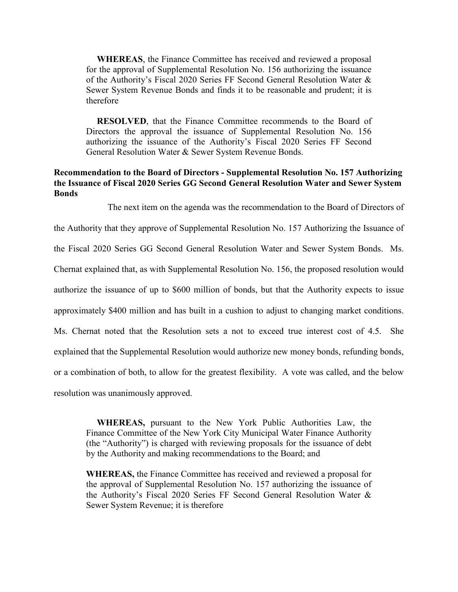**WHEREAS**, the Finance Committee has received and reviewed a proposal for the approval of Supplemental Resolution No. 156 authorizing the issuance of the Authority's Fiscal 2020 Series FF Second General Resolution Water & Sewer System Revenue Bonds and finds it to be reasonable and prudent; it is therefore

**RESOLVED**, that the Finance Committee recommends to the Board of Directors the approval the issuance of Supplemental Resolution No. 156 authorizing the issuance of the Authority's Fiscal 2020 Series FF Second General Resolution Water & Sewer System Revenue Bonds.

# **Recommendation to the Board of Directors - Supplemental Resolution No. 157 Authorizing the Issuance of Fiscal 2020 Series GG Second General Resolution Water and Sewer System Bonds**

The next item on the agenda was the recommendation to the Board of Directors of

the Authority that they approve of Supplemental Resolution No. 157 Authorizing the Issuance of the Fiscal 2020 Series GG Second General Resolution Water and Sewer System Bonds. Ms. Chernat explained that, as with Supplemental Resolution No. 156, the proposed resolution would authorize the issuance of up to \$600 million of bonds, but that the Authority expects to issue approximately \$400 million and has built in a cushion to adjust to changing market conditions. Ms. Chernat noted that the Resolution sets a not to exceed true interest cost of 4.5. She explained that the Supplemental Resolution would authorize new money bonds, refunding bonds, or a combination of both, to allow for the greatest flexibility. A vote was called, and the below resolution was unanimously approved.

**WHEREAS,** pursuant to the New York Public Authorities Law, the Finance Committee of the New York City Municipal Water Finance Authority (the "Authority") is charged with reviewing proposals for the issuance of debt by the Authority and making recommendations to the Board; and

**WHEREAS,** the Finance Committee has received and reviewed a proposal for the approval of Supplemental Resolution No. 157 authorizing the issuance of the Authority's Fiscal 2020 Series FF Second General Resolution Water & Sewer System Revenue; it is therefore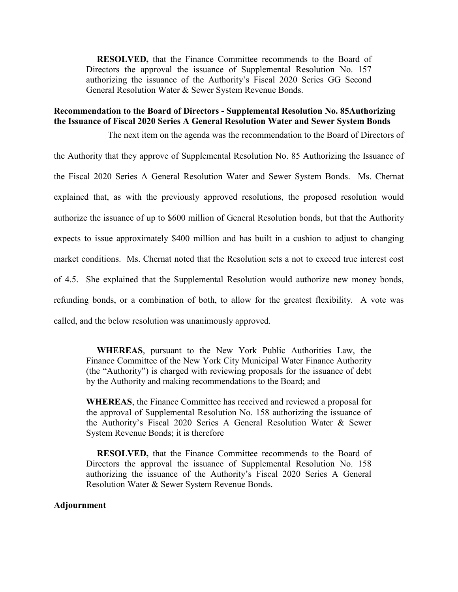**RESOLVED,** that the Finance Committee recommends to the Board of Directors the approval the issuance of Supplemental Resolution No. 157 authorizing the issuance of the Authority's Fiscal 2020 Series GG Second General Resolution Water & Sewer System Revenue Bonds.

# **Recommendation to the Board of Directors - Supplemental Resolution No. 85Authorizing the Issuance of Fiscal 2020 Series A General Resolution Water and Sewer System Bonds**

The next item on the agenda was the recommendation to the Board of Directors of the Authority that they approve of Supplemental Resolution No. 85 Authorizing the Issuance of the Fiscal 2020 Series A General Resolution Water and Sewer System Bonds. Ms. Chernat explained that, as with the previously approved resolutions, the proposed resolution would authorize the issuance of up to \$600 million of General Resolution bonds, but that the Authority expects to issue approximately \$400 million and has built in a cushion to adjust to changing market conditions. Ms. Chernat noted that the Resolution sets a not to exceed true interest cost of 4.5. She explained that the Supplemental Resolution would authorize new money bonds, refunding bonds, or a combination of both, to allow for the greatest flexibility. A vote was called, and the below resolution was unanimously approved.

**WHEREAS**, pursuant to the New York Public Authorities Law, the Finance Committee of the New York City Municipal Water Finance Authority (the "Authority") is charged with reviewing proposals for the issuance of debt by the Authority and making recommendations to the Board; and

**WHEREAS**, the Finance Committee has received and reviewed a proposal for the approval of Supplemental Resolution No. 158 authorizing the issuance of the Authority's Fiscal 2020 Series A General Resolution Water & Sewer System Revenue Bonds; it is therefore

**RESOLVED,** that the Finance Committee recommends to the Board of Directors the approval the issuance of Supplemental Resolution No. 158 authorizing the issuance of the Authority's Fiscal 2020 Series A General Resolution Water & Sewer System Revenue Bonds.

#### **Adjournment**